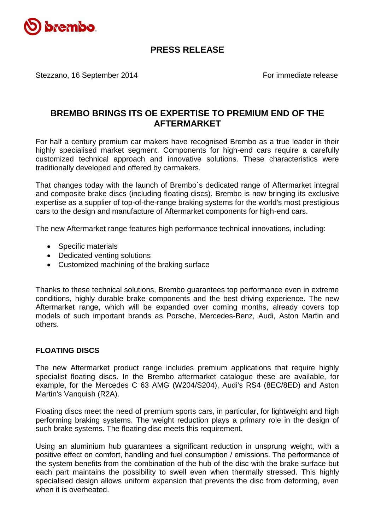

## **PRESS RELEASE**

Stezzano, 16 September 2014 **For immediate release** 

## **BREMBO BRINGS ITS OE EXPERTISE TO PREMIUM END OF THE AFTERMARKET**

For half a century premium car makers have recognised Brembo as a true leader in their highly specialised market segment. Components for high-end cars require a carefully customized technical approach and innovative solutions. These characteristics were traditionally developed and offered by carmakers.

That changes today with the launch of Brembo`s dedicated range of Aftermarket integral and composite brake discs (including floating discs). Brembo is now bringing its exclusive expertise as a supplier of top-of-the-range braking systems for the world's most prestigious cars to the design and manufacture of Aftermarket components for high-end cars.

The new Aftermarket range features high performance technical innovations, including:

- Specific materials
- Dedicated venting solutions
- Customized machining of the braking surface

Thanks to these technical solutions, Brembo guarantees top performance even in extreme conditions, highly durable brake components and the best driving experience. The new Aftermarket range, which will be expanded over coming months, already covers top models of such important brands as Porsche, Mercedes-Benz, Audi, Aston Martin and others.

## **FLOATING DISCS**

The new Aftermarket product range includes premium applications that require highly specialist floating discs. In the Brembo aftermarket catalogue these are available, for example, for the Mercedes C 63 AMG (W204/S204), Audi's RS4 (8EC/8ED) and Aston Martin's Vanquish (R2A).

Floating discs meet the need of premium sports cars, in particular, for lightweight and high performing braking systems. The weight reduction plays a primary role in the design of such brake systems. The floating disc meets this requirement.

Using an aluminium hub guarantees a significant reduction in unsprung weight, with a positive effect on comfort, handling and fuel consumption / emissions. The performance of the system benefits from the combination of the hub of the disc with the brake surface but each part maintains the possibility to swell even when thermally stressed. This highly specialised design allows uniform expansion that prevents the disc from deforming, even when it is overheated.